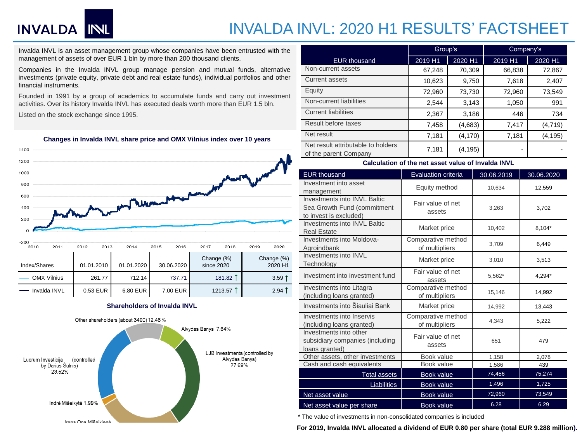# **INVALDA NUL**

## INVALDA INVL: 2020 H1 RESULTS' FACTSHEET

Invalda INVL is an asset management group whose companies have been entrusted with the management of assets of over EUR 1 bln by more than 200 thousand clients.

Companies in the Invalda INVL group manage pension and mutual funds, alternative investments (private equity, private debt and real estate funds), individual portfolios and other financial instruments.

Founded in 1991 by a group of academics to accumulate funds and carry out investment activities. Over its history Invalda INVL has executed deals worth more than EUR 1.5 bln.

Listed on the stock exchange since 1995.



### **Shareholders of Invalda INVL**



|                                                             | Group's |          | Company's |          |  |
|-------------------------------------------------------------|---------|----------|-----------|----------|--|
| <b>EUR thousand</b>                                         | 2019 H1 | 2020 H1  | 2019 H1   | 2020 H1  |  |
| Non-current assets                                          | 67,248  | 70,309   | 66,838    | 72,867   |  |
| <b>Current assets</b>                                       | 10,623  | 9,750    | 7,618     | 2,407    |  |
| Equity                                                      | 72,960  | 73,730   | 72,960    | 73,549   |  |
| Non-current liabilities                                     | 2,544   | 3,143    | 1,050     | 991      |  |
| <b>Current liabilities</b>                                  | 2,367   | 3,186    | 446       | 734      |  |
| Result before taxes                                         | 7,458   | (4,683)  | 7,417     | (4, 719) |  |
| Net result                                                  | 7,181   | (4, 170) | 7,181     | (4, 195) |  |
| Net result attributable to holders<br>of the parent Company | 7,181   | (4, 195) |           |          |  |

#### **Calculation of the net asset value of Invalda INVL**

| <b>EUR thousand</b>                                                                   | <b>Evaluation criteria</b>           | 30.06.2019 | 30.06.2020 |  |  |
|---------------------------------------------------------------------------------------|--------------------------------------|------------|------------|--|--|
| Investment into asset<br>management                                                   | Equity method                        | 10,634     | 12,559     |  |  |
| Investments into INVL Baltic<br>Sea Growth Fund (commitment<br>to invest is excluded) | Fair value of net<br>assets          | 3,263      | 3,702      |  |  |
| Investments into INVL Baltic<br><b>Real Estate</b>                                    | Market price                         | 10,402     | 8.104*     |  |  |
| Investments into Moldova-<br>Agroindbank                                              | Comparative method<br>of multipliers | 3,709      | 6,449      |  |  |
| Investments into INVL<br>Technology                                                   | Market price                         | 3,010      | 3,513      |  |  |
| Investment into investment fund                                                       | Fair value of net<br>assets          | 5,562*     | 4,294*     |  |  |
| Investments into Litagra<br>(including loans granted)                                 | Comparative method<br>of multipliers | 15,146     | 14,992     |  |  |
| Investments into Šiauliai Bank                                                        | Market price                         | 14,992     | 13,443     |  |  |
| Investments into Inservis<br>(including loans granted)                                | Comparative method<br>of multipliers | 4.343      | 5,222      |  |  |
| Investments into other<br>subsidiary companies (including<br>loans granted)           | Fair value of net<br>assets          | 651        | 479        |  |  |
| Other assets, other investments                                                       | Book value                           | 1,158      | 2,078      |  |  |
| Cash and cash equivalents                                                             | Book value                           | 1,586      | 439        |  |  |
| <b>Total assets</b>                                                                   | <b>Book value</b>                    | 74,456     | 75,274     |  |  |
| Liabilities                                                                           | <b>Book value</b>                    | 1,496      | 1,725      |  |  |
| Net asset value                                                                       | Book value                           | 72,960     | 73,549     |  |  |
| Net asset value per share                                                             | <b>Book value</b>                    | 6.28       | 6.29       |  |  |

\* The value of investments in non-consolidated companies is included

**For 2019, Invalda INVL allocated a dividend of EUR 0.80 per share (total EUR 9.288 million).**

### **Changes in Invalda INVL share price and OMX Vilnius index over 10 years**